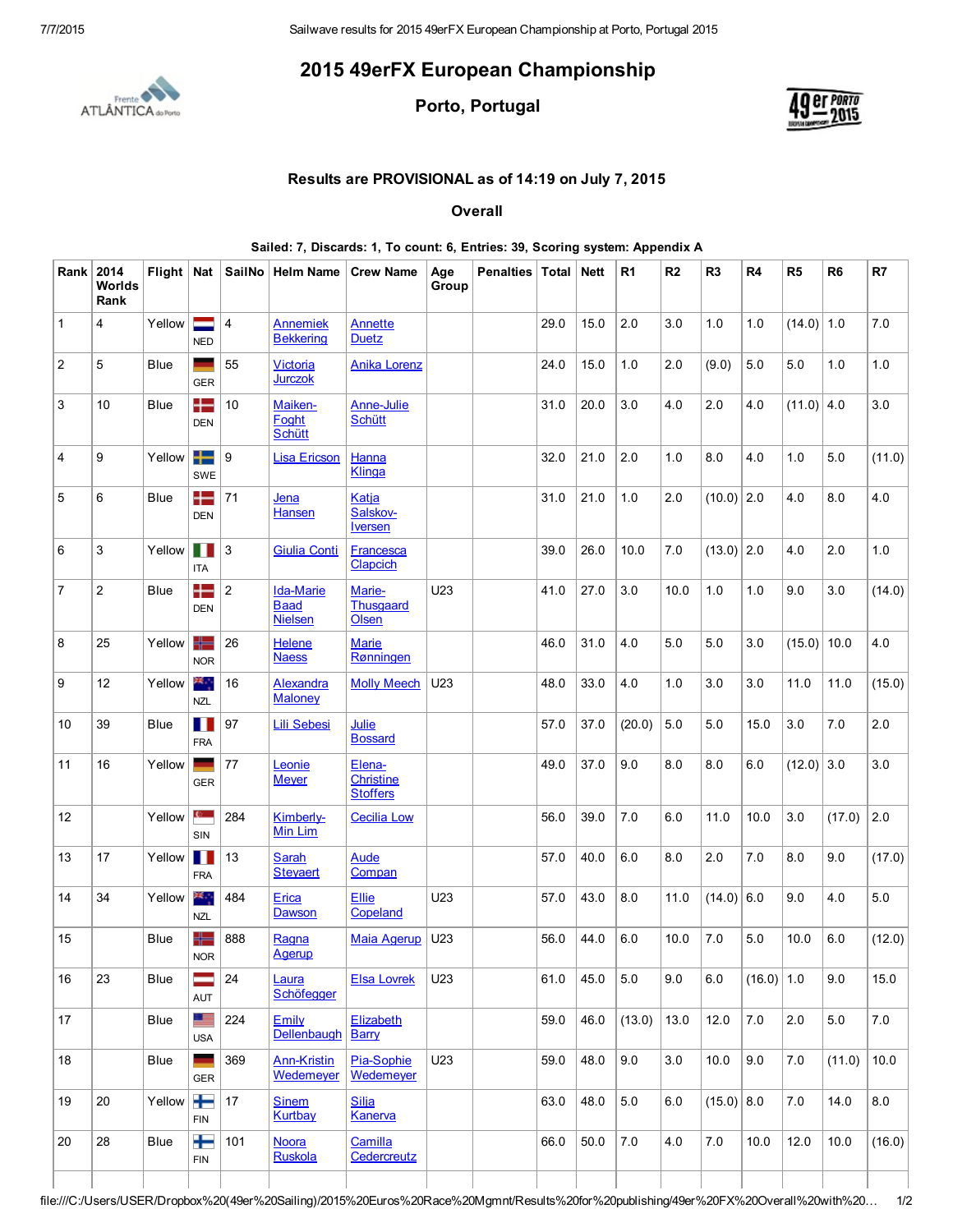## 2015 49erFX European Championship



Porto, Portugal



## Results are PROVISIONAL as of 14:19 on July 7, 2015

**Overall** 

|                         | Rank 2014<br>Worlds<br>Rank |             |                     |                | Flight   Nat   SailNo   Helm Name                 | <b>Crew Name</b>                       | Age<br>Group | Penalties   Total   Nett |      |      | R <sub>1</sub> | R2   | R <sub>3</sub> | R <sub>4</sub> | R5           | R <sub>6</sub> | R7     |
|-------------------------|-----------------------------|-------------|---------------------|----------------|---------------------------------------------------|----------------------------------------|--------------|--------------------------|------|------|----------------|------|----------------|----------------|--------------|----------------|--------|
| $\mathbf{1}$            | $\overline{4}$              | Yellow      | ÷<br><b>NED</b>     | 4              | <b>Annemiek</b><br><b>Bekkering</b>               | Annette<br><b>Duetz</b>                |              |                          | 29.0 | 15.0 | 2.0            | 3.0  | 1.0            | 1.0            | $(14.0)$ 1.0 |                | 7.0    |
| $\overline{\mathbf{c}}$ | 5                           | Blue        | ۰<br><b>GER</b>     | 55             | Victoria<br><b>Jurczok</b>                        | <b>Anika Lorenz</b>                    |              |                          | 24.0 | 15.0 | 1.0            | 2.0  | (9.0)          | 5.0            | 5.0          | 1.0            | 1.0    |
| 3                       | 10                          | <b>Blue</b> | $\pm$<br><b>DEN</b> | 10             | Maiken-<br>Foght<br><b>Schütt</b>                 | <b>Anne-Julie</b><br><b>Schütt</b>     |              |                          | 31.0 | 20.0 | 3.0            | 4.0  | 2.0            | 4.0            | $(11.0)$ 4.0 |                | 3.0    |
| 4                       | 9                           | Yellow      | ╈═<br><b>SWE</b>    | ∣9             | <b>Lisa Ericson</b>                               | Hanna<br>Klinga                        |              |                          | 32.0 | 21.0 | 2.0            | 1.0  | 8.0            | 4.0            | 1.0          | 5.0            | (11.0) |
| 5                       | 6                           | <b>Blue</b> | $\pm$<br><b>DEN</b> | 71             | Jena<br>Hansen                                    | Katja<br>Salskov-<br><b>Iversen</b>    |              |                          | 31.0 | 21.0 | $1.0$          | 2.0  | $(10.0)$ 2.0   |                | 4.0          | 8.0            | 4.0    |
| 6                       | $\mathsf 3$                 | Yellow      | H<br><b>ITA</b>     | $\mathbf{3}$   | <b>Giulia Conti</b>                               | <b>Francesca</b><br>Clapcich           |              |                          | 39.0 | 26.0 | 10.0           | 7.0  | $(13.0)$ 2.0   |                | 4.0          | 2.0            | 1.0    |
| $\overline{7}$          | $\overline{2}$              | Blue        | ╊<br><b>DEN</b>     | $\overline{2}$ | <b>Ida-Marie</b><br><b>Baad</b><br><b>Nielsen</b> | Marie-<br>Thusgaard<br>Olsen           | U23          |                          | 41.0 | 27.0 | 3.0            | 10.0 | 1.0            | 1.0            | 9.0          | 3.0            | (14.0) |
| 8                       | 25                          | Yellow      | ╬═<br><b>NOR</b>    | 26             | Helene<br><b>Naess</b>                            | <b>Marie</b><br>Rønningen              |              |                          | 46.0 | 31.0 | 4.0            | 5.0  | 5.0            | 3.0            | (15.0)       | 10.0           | 4.0    |
| 9                       | 12                          | Yellow      | ≭্<br><b>NZL</b>    | 16             | Alexandra<br><b>Maloney</b>                       | <b>Molly Meech</b>                     | U23          |                          | 48.0 | 33.0 | 4.0            | 1.0  | 3.0            | 3.0            | 11.0         | 11.0           | (15.0) |
| 10                      | 39                          | <b>Blue</b> | Ш<br><b>FRA</b>     | 97             | <b>Lili Sebesi</b>                                | Julie<br><b>Bossard</b>                |              |                          | 57.0 | 37.0 | (20.0)         | 5.0  | 5.0            | 15.0           | 3.0          | 7.0            | 2.0    |
| 11                      | 16                          | Yellow      | <b>GER</b>          | 77             | Leonie<br><b>Meyer</b>                            | Elena-<br>Christine<br><b>Stoffers</b> |              |                          | 49.0 | 37.0 | 9.0            | 8.0  | 8.0            | 6.0            | $(12.0)$ 3.0 |                | 3.0    |
| 12                      |                             | Yellow      | $\mathbf{c}$<br>SIN | 284            | Kimberly-<br>Min Lim                              | <b>Cecilia Low</b>                     |              |                          | 56.0 | 39.0 | 7.0            | 6.0  | 11.0           | 10.0           | 3.0          | (17.0)         | 2.0    |
| 13                      | 17                          | Yellow      | <b>FRA</b>          | 13             | Sarah<br><b>Steyaert</b>                          | <b>Aude</b><br>Compan                  |              |                          | 57.0 | 40.0 | 6.0            | 8.0  | 2.0            | 7.0            | 8.0          | 9.0            | (17.0) |
| 14                      | 34                          | Yellow      | ≫्<br><b>NZL</b>    | 484            | Erica<br>Dawson                                   | <b>Ellie</b><br>Copeland               | U23          |                          | 57.0 | 43.0 | 8.0            | 11.0 | $(14.0)$ 6.0   |                | 9.0          | 4.0            | 5.0    |
| 15                      |                             | Blue        | ╬═<br><b>NOR</b>    | 888            | Ragna<br>Agerup                                   | <b>Maia Agerup</b>                     | U23          |                          | 56.0 | 44.0 | $6.0\,$        | 10.0 | 7.0            | 5.0            | 10.0         | $6.0\,$        | (12.0) |
| 16                      | 23                          | Blue        | =<br><b>AUT</b>     | 24             | Laura<br>Schöfegger                               | <b>Elsa Lovrek</b>                     | U23          |                          | 61.0 | 45.0 | 5.0            | 9.0  | 6.0            | $(16.0)$ 1.0   |              | 9.0            | 15.0   |
| 17                      |                             | Blue        | œ<br><b>USA</b>     | 224            | Emily<br>Dellenbaugh                              | Elizabeth<br><b>Barry</b>              |              |                          | 59.0 | 46.0 | (13.0)         | 13.0 | 12.0           | 7.0            | 2.0          | 5.0            | 7.0    |
| 18                      |                             | Blue        | <b>GER</b>          | 369            | <b>Ann-Kristin</b><br>Wedemeyer                   | Pia-Sophie<br>Wedemeyer                | U23          |                          | 59.0 | 48.0 | 9.0            | 3.0  | 10.0           | 9.0            | 7.0          | (11.0)         | 10.0   |
| 19                      | 20                          | Yellow      | ╈<br>FIN            | 17             | <b>Sinem</b><br><b>Kurtbay</b>                    | <b>Silja</b><br>Kanerva                |              |                          | 63.0 | 48.0 | 5.0            | 6.0  | $(15.0)$ 8.0   |                | 7.0          | 14.0           | 8.0    |
| 20                      | 28                          | <b>Blue</b> | ╈<br><b>FIN</b>     | 101            | <b>Noora</b><br>Ruskola                           | Camilla<br>Cedercreutz                 |              |                          | 66.0 | 50.0 | 7.0            | 4.0  | $7.0$          | 10.0           | 12.0         | 10.0           | (16.0) |
|                         |                             |             |                     |                |                                                   |                                        |              |                          |      |      |                |      |                |                |              |                |        |